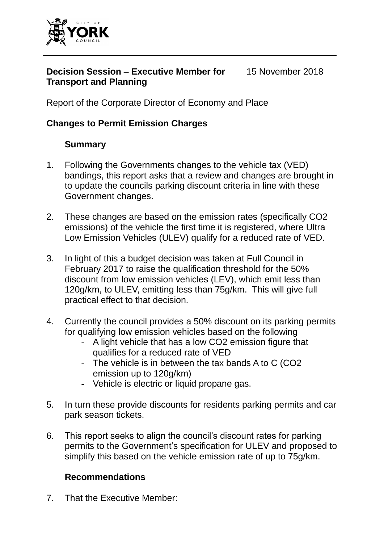

#### **Decision Session – Executive Member for Transport and Planning** 15 November 2018

Report of the Corporate Director of Economy and Place

## **Changes to Permit Emission Charges**

## **Summary**

- 1. Following the Governments changes to the vehicle tax (VED) bandings, this report asks that a review and changes are brought in to update the councils parking discount criteria in line with these Government changes.
- 2. These changes are based on the emission rates (specifically CO2 emissions) of the vehicle the first time it is registered, where Ultra Low Emission Vehicles (ULEV) qualify for a reduced rate of VED.
- 3. In light of this a budget decision was taken at Full Council in February 2017 to raise the qualification threshold for the 50% discount from low emission vehicles (LEV), which emit less than 120g/km, to ULEV, emitting less than 75g/km. This will give full practical effect to that decision.
- 4. Currently the council provides a 50% discount on its parking permits for qualifying low emission vehicles based on the following
	- A light vehicle that has a low CO2 emission figure that qualifies for a reduced rate of VED
	- The vehicle is in between the tax bands A to C (CO2 emission up to 120g/km)
	- Vehicle is electric or liquid propane gas.
- 5. In turn these provide discounts for residents parking permits and car park season tickets.
- 6. This report seeks to align the council's discount rates for parking permits to the Government's specification for ULEV and proposed to simplify this based on the vehicle emission rate of up to 75g/km.

### **Recommendations**

7. That the Executive Member: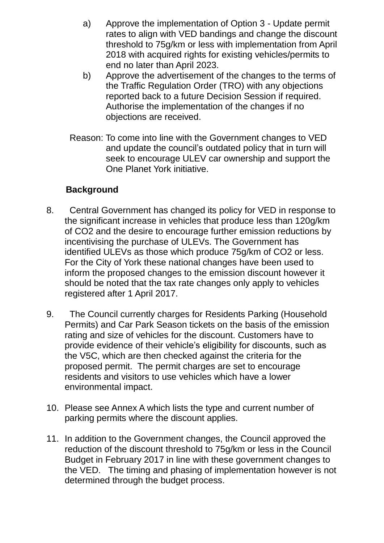- a) Approve the implementation of Option 3 Update permit rates to align with VED bandings and change the discount threshold to 75g/km or less with implementation from April 2018 with acquired rights for existing vehicles/permits to end no later than April 2023.
- b) Approve the advertisement of the changes to the terms of the Traffic Regulation Order (TRO) with any objections reported back to a future Decision Session if required. Authorise the implementation of the changes if no objections are received.
- Reason: To come into line with the Government changes to VED and update the council's outdated policy that in turn will seek to encourage ULEV car ownership and support the One Planet York initiative.

## **Background**

- 8. Central Government has changed its policy for VED in response to the significant increase in vehicles that produce less than 120g/km of CO2 and the desire to encourage further emission reductions by incentivising the purchase of ULEVs. The Government has identified ULEVs as those which produce 75g/km of CO2 or less. For the City of York these national changes have been used to inform the proposed changes to the emission discount however it should be noted that the tax rate changes only apply to vehicles registered after 1 April 2017.
- 9. The Council currently charges for Residents Parking (Household Permits) and Car Park Season tickets on the basis of the emission rating and size of vehicles for the discount. Customers have to provide evidence of their vehicle's eligibility for discounts, such as the V5C, which are then checked against the criteria for the proposed permit. The permit charges are set to encourage residents and visitors to use vehicles which have a lower environmental impact.
- 10. Please see Annex A which lists the type and current number of parking permits where the discount applies.
- 11. In addition to the Government changes, the Council approved the reduction of the discount threshold to 75g/km or less in the Council Budget in February 2017 in line with these government changes to the VED. The timing and phasing of implementation however is not determined through the budget process.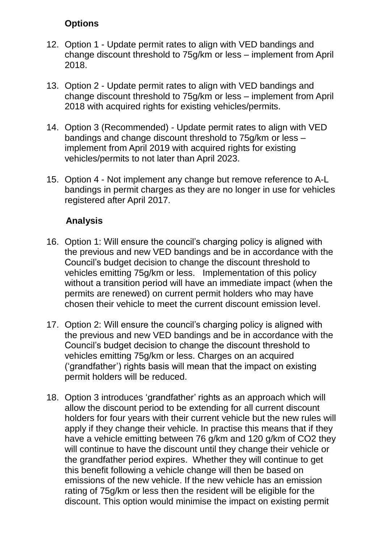## **Options**

- 12. Option 1 Update permit rates to align with VED bandings and change discount threshold to 75g/km or less – implement from April 2018.
- 13. Option 2 Update permit rates to align with VED bandings and change discount threshold to 75g/km or less – implement from April 2018 with acquired rights for existing vehicles/permits.
- 14. Option 3 (Recommended) Update permit rates to align with VED bandings and change discount threshold to 75g/km or less – implement from April 2019 with acquired rights for existing vehicles/permits to not later than April 2023.
- 15. Option 4 Not implement any change but remove reference to A-L bandings in permit charges as they are no longer in use for vehicles registered after April 2017.

## **Analysis**

- 16. Option 1: Will ensure the council's charging policy is aligned with the previous and new VED bandings and be in accordance with the Council's budget decision to change the discount threshold to vehicles emitting 75g/km or less. Implementation of this policy without a transition period will have an immediate impact (when the permits are renewed) on current permit holders who may have chosen their vehicle to meet the current discount emission level.
- 17. Option 2: Will ensure the council's charging policy is aligned with the previous and new VED bandings and be in accordance with the Council's budget decision to change the discount threshold to vehicles emitting 75g/km or less. Charges on an acquired ('grandfather') rights basis will mean that the impact on existing permit holders will be reduced.
- 18. Option 3 introduces 'grandfather' rights as an approach which will allow the discount period to be extending for all current discount holders for four years with their current vehicle but the new rules will apply if they change their vehicle. In practise this means that if they have a vehicle emitting between 76 g/km and 120 g/km of CO2 they will continue to have the discount until they change their vehicle or the grandfather period expires. Whether they will continue to get this benefit following a vehicle change will then be based on emissions of the new vehicle. If the new vehicle has an emission rating of 75g/km or less then the resident will be eligible for the discount. This option would minimise the impact on existing permit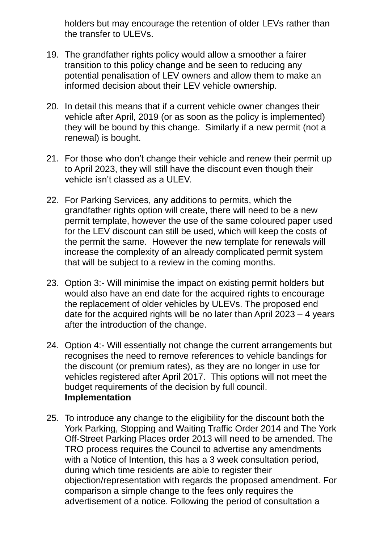holders but may encourage the retention of older LEVs rather than the transfer to ULEVs.

- 19. The grandfather rights policy would allow a smoother a fairer transition to this policy change and be seen to reducing any potential penalisation of LEV owners and allow them to make an informed decision about their LEV vehicle ownership.
- 20. In detail this means that if a current vehicle owner changes their vehicle after April, 2019 (or as soon as the policy is implemented) they will be bound by this change. Similarly if a new permit (not a renewal) is bought.
- 21. For those who don't change their vehicle and renew their permit up to April 2023, they will still have the discount even though their vehicle isn't classed as a ULEV.
- 22. For Parking Services, any additions to permits, which the grandfather rights option will create, there will need to be a new permit template, however the use of the same coloured paper used for the LEV discount can still be used, which will keep the costs of the permit the same. However the new template for renewals will increase the complexity of an already complicated permit system that will be subject to a review in the coming months.
- 23. Option 3:- Will minimise the impact on existing permit holders but would also have an end date for the acquired rights to encourage the replacement of older vehicles by ULEVs. The proposed end date for the acquired rights will be no later than April 2023 – 4 years after the introduction of the change.
- 24. Option 4:- Will essentially not change the current arrangements but recognises the need to remove references to vehicle bandings for the discount (or premium rates), as they are no longer in use for vehicles registered after April 2017. This options will not meet the budget requirements of the decision by full council. **Implementation**
- 25. To introduce any change to the eligibility for the discount both the York Parking, Stopping and Waiting Traffic Order 2014 and The York Off-Street Parking Places order 2013 will need to be amended. The TRO process requires the Council to advertise any amendments with a Notice of Intention, this has a 3 week consultation period, during which time residents are able to register their objection/representation with regards the proposed amendment. For comparison a simple change to the fees only requires the advertisement of a notice. Following the period of consultation a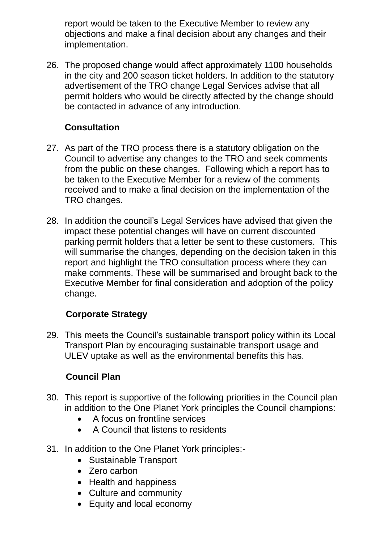report would be taken to the Executive Member to review any objections and make a final decision about any changes and their implementation.

26. The proposed change would affect approximately 1100 households in the city and 200 season ticket holders. In addition to the statutory advertisement of the TRO change Legal Services advise that all permit holders who would be directly affected by the change should be contacted in advance of any introduction.

## **Consultation**

- 27. As part of the TRO process there is a statutory obligation on the Council to advertise any changes to the TRO and seek comments from the public on these changes. Following which a report has to be taken to the Executive Member for a review of the comments received and to make a final decision on the implementation of the TRO changes.
- 28. In addition the council's Legal Services have advised that given the impact these potential changes will have on current discounted parking permit holders that a letter be sent to these customers. This will summarise the changes, depending on the decision taken in this report and highlight the TRO consultation process where they can make comments. These will be summarised and brought back to the Executive Member for final consideration and adoption of the policy change.

# **Corporate Strategy**

29. This meets the Council's sustainable transport policy within its Local Transport Plan by encouraging sustainable transport usage and ULEV uptake as well as the environmental benefits this has.

# **Council Plan**

- 30. This report is supportive of the following priorities in the Council plan in addition to the One Planet York principles the Council champions:
	- A focus on frontline services
	- A Council that listens to residents
- 31. In addition to the One Planet York principles:-
	- Sustainable Transport
	- Zero carbon
	- Health and happiness
	- Culture and community
	- Equity and local economy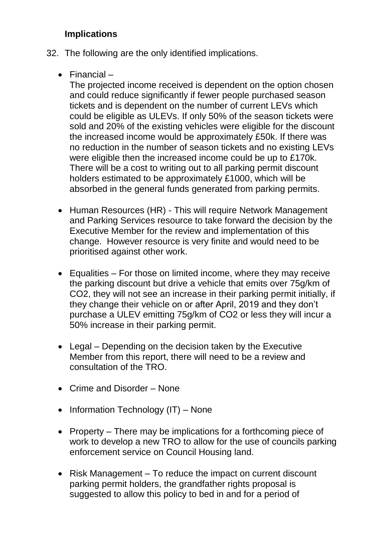## **Implications**

- 32. The following are the only identified implications.
	- Financial –

The projected income received is dependent on the option chosen and could reduce significantly if fewer people purchased season tickets and is dependent on the number of current LEVs which could be eligible as ULEVs. If only 50% of the season tickets were sold and 20% of the existing vehicles were eligible for the discount the increased income would be approximately £50k. If there was no reduction in the number of season tickets and no existing LEVs were eligible then the increased income could be up to £170k. There will be a cost to writing out to all parking permit discount holders estimated to be approximately £1000, which will be absorbed in the general funds generated from parking permits.

- Human Resources (HR) This will require Network Management and Parking Services resource to take forward the decision by the Executive Member for the review and implementation of this change. However resource is very finite and would need to be prioritised against other work.
- Equalities For those on limited income, where they may receive the parking discount but drive a vehicle that emits over 75g/km of CO2, they will not see an increase in their parking permit initially, if they change their vehicle on or after April, 2019 and they don't purchase a ULEV emitting 75g/km of CO2 or less they will incur a 50% increase in their parking permit.
- Legal Depending on the decision taken by the Executive Member from this report, there will need to be a review and consultation of the TRO.
- Crime and Disorder None
- $\bullet$  Information Technology (IT) None
- Property There may be implications for a forthcoming piece of work to develop a new TRO to allow for the use of councils parking enforcement service on Council Housing land.
- Risk Management To reduce the impact on current discount parking permit holders, the grandfather rights proposal is suggested to allow this policy to bed in and for a period of